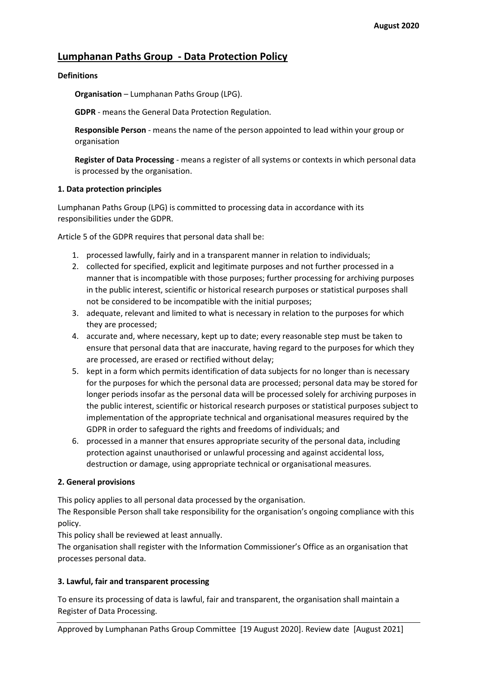# **Lumphanan Paths Group - Data Protection Policy**

# **Definitions**

**Organisation** – Lumphanan Paths Group (LPG).

**GDPR** - means the General Data Protection Regulation.

**Responsible Person** - means the name of the person appointed to lead within your group or organisation

**Register of Data Processing** - means a register of all systems or contexts in which personal data is processed by the organisation.

# **1. Data protection principles**

Lumphanan Paths Group (LPG) is committed to processing data in accordance with its responsibilities under the GDPR.

Article 5 of the GDPR requires that personal data shall be:

- 1. processed lawfully, fairly and in a transparent manner in relation to individuals;
- 2. collected for specified, explicit and legitimate purposes and not further processed in a manner that is incompatible with those purposes; further processing for archiving purposes in the public interest, scientific or historical research purposes or statistical purposes shall not be considered to be incompatible with the initial purposes;
- 3. adequate, relevant and limited to what is necessary in relation to the purposes for which they are processed;
- 4. accurate and, where necessary, kept up to date; every reasonable step must be taken to ensure that personal data that are inaccurate, having regard to the purposes for which they are processed, are erased or rectified without delay;
- 5. kept in a form which permits identification of data subjects for no longer than is necessary for the purposes for which the personal data are processed; personal data may be stored for longer periods insofar as the personal data will be processed solely for archiving purposes in the public interest, scientific or historical research purposes or statistical purposes subject to implementation of the appropriate technical and organisational measures required by the GDPR in order to safeguard the rights and freedoms of individuals; and
- 6. processed in a manner that ensures appropriate security of the personal data, including protection against unauthorised or unlawful processing and against accidental loss, destruction or damage, using appropriate technical or organisational measures.

# **2. General provisions**

This policy applies to all personal data processed by the organisation.

The Responsible Person shall take responsibility for the organisation's ongoing compliance with this policy.

This policy shall be reviewed at least annually.

The organisation shall register with the Information Commissioner's Office as an organisation that processes personal data.

# **3. Lawful, fair and transparent processing**

To ensure its processing of data is lawful, fair and transparent, the organisation shall maintain a Register of Data Processing.